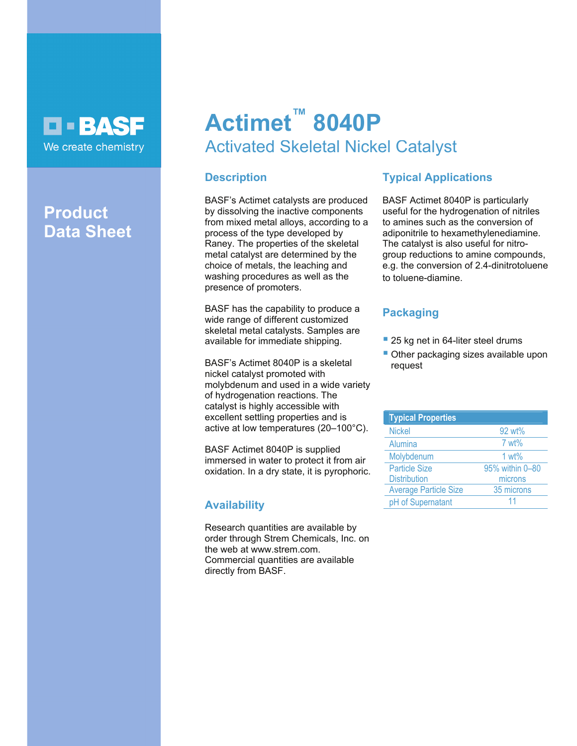

## **Product Data Sheet**

# **Actimet™ 8040P**  Activated Skeletal Nickel Catalyst

## **Description**

BASF's Actimet catalysts are produced by dissolving the inactive components from mixed metal alloys, according to a process of the type developed by Raney. The properties of the skeletal metal catalyst are determined by the choice of metals, the leaching and washing procedures as well as the presence of promoters.

BASF has the capability to produce a wide range of different customized skeletal metal catalysts. Samples are available for immediate shipping.

BASF's Actimet 8040P is a skeletal nickel catalyst promoted with molybdenum and used in a wide variety of hydrogenation reactions. The catalyst is highly accessible with excellent settling properties and is active at low temperatures (20–100°C).

BASF Actimet 8040P is supplied immersed in water to protect it from air oxidation. In a dry state, it is pyrophoric.

## **Availability**

Research quantities are available by order through Strem Chemicals, Inc. on the web at www.strem.com. Commercial quantities are available directly from BASF.

## **Typical Applications**

BASF Actimet 8040P is particularly useful for the hydrogenation of nitriles to amines such as the conversion of adiponitrile to hexamethylenediamine. The catalyst is also useful for nitrogroup reductions to amine compounds, e.g. the conversion of 2.4-dinitrotoluene to toluene-diamine.

## **Packaging**

- 25 kg net in 64-liter steel drums
- Other packaging sizes available upon request

| <b>Typical Properties</b>    |                 |
|------------------------------|-----------------|
| <b>Nickel</b>                | 92 wt%          |
| <b>Alumina</b>               | 7 wt%           |
| Molybdenum                   | $1 wt\%$        |
| <b>Particle Size</b>         | 95% within 0-80 |
| <b>Distribution</b>          | microns         |
| <b>Average Particle Size</b> | 35 microns      |
| pH of Supernatant            | 11              |